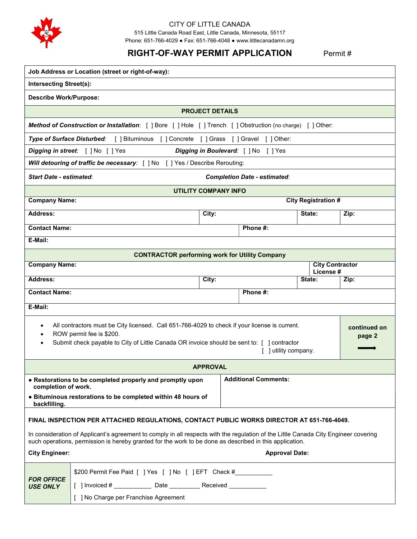

### CITY OF LITTLE CANADA 515 Little Canada Road East, Little Canada, Minnesota, 55117

Phone: 651-766-4029 ● Fax: 651-766-4048 ● www.littlecanadamn.org

# RIGHT-OF-WAY PERMIT APPLICATION Permit #

| Job Address or Location (street or right-of-way):                                                                                                                                                                                             |                                                                                                                                                                                                                                                |                 |          |                             |      |                        |  |  |
|-----------------------------------------------------------------------------------------------------------------------------------------------------------------------------------------------------------------------------------------------|------------------------------------------------------------------------------------------------------------------------------------------------------------------------------------------------------------------------------------------------|-----------------|----------|-----------------------------|------|------------------------|--|--|
| <b>Intersecting Street(s):</b>                                                                                                                                                                                                                |                                                                                                                                                                                                                                                |                 |          |                             |      |                        |  |  |
| <b>Describe Work/Purpose:</b>                                                                                                                                                                                                                 |                                                                                                                                                                                                                                                |                 |          |                             |      |                        |  |  |
| <b>PROJECT DETAILS</b>                                                                                                                                                                                                                        |                                                                                                                                                                                                                                                |                 |          |                             |      |                        |  |  |
| Method of Construction or Installation: [ ] Bore [ ] Hole [ ] Trench [ ] Obstruction (no charge) [ ] Other:                                                                                                                                   |                                                                                                                                                                                                                                                |                 |          |                             |      |                        |  |  |
| <b>Type of Surface Disturbed:</b><br>[ ] Concrete<br>[ ] Bituminous<br>[ ] Grass<br>[ ] Gravel<br>$\lceil$   Other:                                                                                                                           |                                                                                                                                                                                                                                                |                 |          |                             |      |                        |  |  |
| Digging in street: [ ] No [ ] Yes<br>Digging in Boulevard: [ ] No<br>[ ] Yes                                                                                                                                                                  |                                                                                                                                                                                                                                                |                 |          |                             |      |                        |  |  |
| Will detouring of traffic be necessary: [ ] No [ ] Yes / Describe Rerouting:                                                                                                                                                                  |                                                                                                                                                                                                                                                |                 |          |                             |      |                        |  |  |
| <b>Start Date - estimated:</b><br><b>Completion Date - estimated:</b>                                                                                                                                                                         |                                                                                                                                                                                                                                                |                 |          |                             |      |                        |  |  |
| <b>UTILITY COMPANY INFO</b>                                                                                                                                                                                                                   |                                                                                                                                                                                                                                                |                 |          |                             |      |                        |  |  |
| <b>Company Name:</b><br><b>City Registration #</b>                                                                                                                                                                                            |                                                                                                                                                                                                                                                |                 |          |                             |      |                        |  |  |
| Address:                                                                                                                                                                                                                                      |                                                                                                                                                                                                                                                | City:           |          | State:                      | Zip: |                        |  |  |
| <b>Contact Name:</b>                                                                                                                                                                                                                          |                                                                                                                                                                                                                                                |                 | Phone #: |                             |      |                        |  |  |
| E-Mail:                                                                                                                                                                                                                                       |                                                                                                                                                                                                                                                |                 |          |                             |      |                        |  |  |
| <b>CONTRACTOR performing work for Utility Company</b>                                                                                                                                                                                         |                                                                                                                                                                                                                                                |                 |          |                             |      |                        |  |  |
| <b>Company Name:</b>                                                                                                                                                                                                                          |                                                                                                                                                                                                                                                |                 | License# |                             |      | <b>City Contractor</b> |  |  |
| <b>Address:</b>                                                                                                                                                                                                                               |                                                                                                                                                                                                                                                | City:           |          | State:                      | Zip: |                        |  |  |
| <b>Contact Name:</b>                                                                                                                                                                                                                          |                                                                                                                                                                                                                                                |                 | Phone #: |                             |      |                        |  |  |
| E-Mail:                                                                                                                                                                                                                                       |                                                                                                                                                                                                                                                |                 |          |                             |      |                        |  |  |
| All contractors must be City licensed. Call 651-766-4029 to check if your license is current.<br>ROW permit fee is \$200.<br>Submit check payable to City of Little Canada OR invoice should be sent to: [ ] contractor<br>] utility company. |                                                                                                                                                                                                                                                |                 |          |                             |      | continued on<br>page 2 |  |  |
|                                                                                                                                                                                                                                               |                                                                                                                                                                                                                                                | <b>APPROVAL</b> |          |                             |      |                        |  |  |
| • Restorations to be completed properly and promptly upon<br>completion of work.<br>• Bituminous restorations to be completed within 48 hours of<br>backfilling.                                                                              |                                                                                                                                                                                                                                                |                 |          | <b>Additional Comments:</b> |      |                        |  |  |
| FINAL INSPECTION PER ATTACHED REGULATIONS, CONTACT PUBLIC WORKS DIRECTOR AT 651-766-4049.                                                                                                                                                     |                                                                                                                                                                                                                                                |                 |          |                             |      |                        |  |  |
|                                                                                                                                                                                                                                               | In consideration of Applicant's agreement to comply in all respects with the regulation of the Little Canada City Engineer covering<br>such operations, permission is hereby granted for the work to be done as described in this application. |                 |          |                             |      |                        |  |  |
| <b>City Engineer:</b><br><b>Approval Date:</b>                                                                                                                                                                                                |                                                                                                                                                                                                                                                |                 |          |                             |      |                        |  |  |
| <b>FOR OFFICE</b><br><b>USE ONLY</b>                                                                                                                                                                                                          | \$200 Permit Fee Paid [ ] Yes [ ] No [ ] EFT Check #                                                                                                                                                                                           |                 |          |                             |      |                        |  |  |
|                                                                                                                                                                                                                                               | [ ] Invoiced # _______________ Date ____________ Received _____________                                                                                                                                                                        |                 |          |                             |      |                        |  |  |
|                                                                                                                                                                                                                                               | [ ] No Charge per Franchise Agreement                                                                                                                                                                                                          |                 |          |                             |      |                        |  |  |